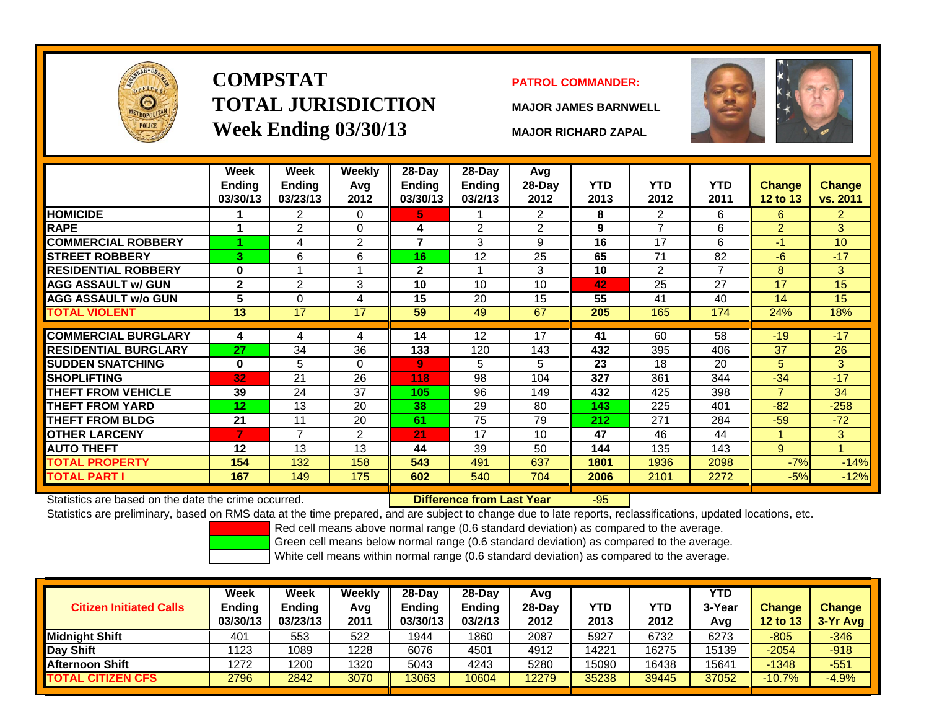

# **COMPSTATTOTAL JURISDICTIONWeek Ending 03/30/13 MAJOR RICHARD ZAPAL**

### **PATROL COMMANDER:**

**MAJOR JAMES BARNWELL**



|                                                      | Week<br><b>Ending</b><br>03/30/13 | Week<br><b>Ending</b><br>03/23/13 | Weekly<br>Avg<br>2012 | 28-Day<br>Ending<br>03/30/13 | 28-Day<br><b>Ending</b><br>03/2/13 | Avg<br>28-Day<br>2012 | <b>YTD</b><br>2013 | <b>YTD</b><br>2012 | <b>YTD</b><br>2011 | Change<br>12 to 13 | <b>Change</b><br>vs. 2011 |
|------------------------------------------------------|-----------------------------------|-----------------------------------|-----------------------|------------------------------|------------------------------------|-----------------------|--------------------|--------------------|--------------------|--------------------|---------------------------|
| <b>HOMICIDE</b>                                      |                                   | $\overline{2}$                    | 0                     | 5.                           |                                    | $\overline{2}$        | 8                  | $\overline{2}$     | 6                  | 6                  | $\overline{2}$            |
| <b>RAPE</b>                                          |                                   | $\overline{2}$                    | 0                     | 4                            | $\overline{2}$                     | $\overline{2}$        | 9                  | $\overline{7}$     | 6                  | $\overline{2}$     | 3                         |
| <b>COMMERCIAL ROBBERY</b>                            |                                   | 4                                 | $\overline{2}$        | 7                            | 3                                  | 9                     | 16                 | 17                 | 6                  | -1                 | 10                        |
| <b>STREET ROBBERY</b>                                | 3                                 | 6                                 | 6                     | 16                           | 12                                 | 25                    | 65                 | 71                 | 82                 | $-6$               | $-17$                     |
| <b>RESIDENTIAL ROBBERY</b>                           | $\bf{0}$                          |                                   |                       | $\mathbf{2}$                 | 1                                  | 3                     | 10                 | $\overline{2}$     | $\overline{7}$     | 8                  | 3 <sup>1</sup>            |
| <b>AGG ASSAULT w/ GUN</b>                            | $\mathbf{2}$                      | 2                                 | 3                     | 10                           | 10                                 | 10                    | 42                 | 25                 | 27                 | 17                 | 15                        |
| <b>AGG ASSAULT w/o GUN</b>                           | 5                                 | $\mathbf{0}$                      | 4                     | 15                           | 20                                 | 15                    | 55                 | 41                 | 40                 | 14                 | 15                        |
| <b>TOTAL VIOLENT</b>                                 | 13                                | $\overline{17}$                   | 17                    | 59                           | 49                                 | 67                    | 205                | 165                | 174                | 24%                | 18%                       |
|                                                      |                                   |                                   |                       |                              |                                    |                       |                    |                    |                    |                    |                           |
| <b>COMMERCIAL BURGLARY</b>                           | 4                                 | 4                                 | 4                     | 14                           | 12                                 | 17                    | 41                 | 60                 | 58                 | $-19$              | $-17$                     |
| <b>RESIDENTIAL BURGLARY</b>                          | 27                                | 34                                | 36                    | 133                          | 120                                | 143                   | 432                | 395                | 406                | 37                 | 26                        |
| <b>SUDDEN SNATCHING</b>                              | $\bf{0}$                          | 5                                 | $\Omega$              | 9                            | 5                                  | 5                     | 23                 | 18                 | 20                 | 5                  | 3                         |
| <b>SHOPLIFTING</b>                                   | 32                                | 21                                | 26                    | 118                          | 98                                 | 104                   | 327                | 361                | 344                | $-34$              | $-17$                     |
| <b>THEFT FROM VEHICLE</b>                            | 39                                | 24                                | 37                    | 105                          | 96                                 | 149                   | 432                | 425                | 398                | $\overline{7}$     | 34                        |
| <b>THEFT FROM YARD</b>                               | 12                                | 13                                | 20                    | 38                           | 29                                 | 80                    | 143                | 225                | 401                | $-82$              | $-258$                    |
| <b>THEFT FROM BLDG</b>                               | 21                                | 11                                | 20                    | 61                           | 75                                 | 79                    | 212                | 271                | 284                | $-59$              | $-72$                     |
| <b>OTHER LARCENY</b>                                 | 7                                 | 7                                 | $\overline{2}$        | 21                           | 17                                 | 10                    | 47                 | 46                 | 44                 |                    | 3                         |
| <b>AUTO THEFT</b>                                    | 12                                | 13                                | 13                    | 44                           | 39                                 | 50                    | 144                | 135                | 143                | 9                  |                           |
| <b>TOTAL PROPERTY</b>                                | 154                               | 132                               | 158                   | 543                          | 491                                | 637                   | 1801               | 1936               | 2098               | $-7%$              | $-14%$                    |
| <b>TOTAL PART I</b>                                  | 167                               | 149                               | 175                   | 602                          | 540                                | 704                   | 2006               | 2101               | 2272               | $-5%$              | $-12%$                    |
| Statistics are based on the date the crime occurred. |                                   |                                   |                       |                              | <b>Difference from Last Year</b>   |                       | $-95$              |                    |                    |                    |                           |

Statistics are based on the date the crime occurred. **Difference from Last Year** 

Statistics are preliminary, based on RMS data at the time prepared, and are subject to change due to late reports, reclassifications, updated locations, etc.

Red cell means above normal range (0.6 standard deviation) as compared to the average.

Green cell means below normal range (0.6 standard deviation) as compared to the average.

| <b>Citizen Initiated Calls</b> | Week<br>Ending<br>03/30/13 | <b>Week</b><br><b>Ending</b><br>03/23/13 | Weekly<br>Avg<br>2011 | 28-Day<br><b>Ending</b><br>03/30/13 | 28-Day<br>Ending<br>03/2/13 | Avg<br>28-Day<br>2012 | <b>YTD</b><br>2013 | YTD<br>2012 | YTD<br>3-Year<br>Avg | <b>Change</b><br><b>12 to 13</b> | <b>Change</b><br>3-Yr Avg |
|--------------------------------|----------------------------|------------------------------------------|-----------------------|-------------------------------------|-----------------------------|-----------------------|--------------------|-------------|----------------------|----------------------------------|---------------------------|
| <b>Midnight Shift</b>          | 401                        | 553                                      | 522                   | 1944                                | 1860                        | 2087                  | 5927               | 6732        | 6273                 | $-805$                           | $-346$                    |
| Day Shift                      | 1123                       | 1089                                     | 1228                  | 6076                                | 4501                        | 4912                  | 14221              | 16275       | 15139                | $-2054$                          | $-918$                    |
| <b>Afternoon Shift</b>         | 1272                       | 1200                                     | 1320                  | 5043                                | 4243                        | 5280                  | 15090              | 16438       | 15641                | $-1348$                          | $-551$                    |
| <b>TOTAL CITIZEN CFS</b>       | 2796                       | 2842                                     | 3070                  | 13063                               | 10604                       | 12279                 | 35238              | 39445       | 37052                | $-10.7%$                         | $-4.9%$                   |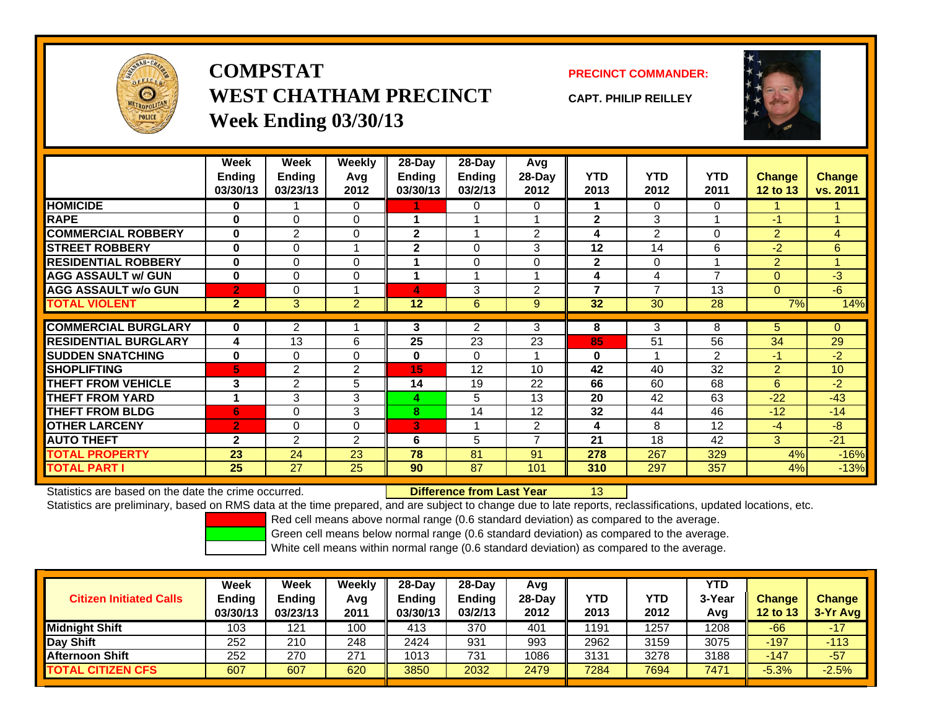

**COMPSTATWEST CHATHAM PRECINCTWeek Ending 03/30/13**

**PRECINCT COMMANDER:**

**CAPT. PHILIP REILLEY**



|                              | Week                 | Week           | Weekly         | $28$ -Day      | $28-Day$       | <b>Avg</b>     |                |                |                |                |                 |
|------------------------------|----------------------|----------------|----------------|----------------|----------------|----------------|----------------|----------------|----------------|----------------|-----------------|
|                              | <b>Ending</b>        | <b>Ending</b>  | Avg            | Ending         | <b>Ending</b>  | 28-Day         | <b>YTD</b>     | <b>YTD</b>     | <b>YTD</b>     | <b>Change</b>  | <b>Change</b>   |
|                              | 03/30/13             | 03/23/13       | 2012           | 03/30/13       | 03/2/13        | 2012           | 2013           | 2012           | 2011           | 12 to 13       | vs. 2011        |
| <b>HOMICIDE</b>              | 0                    |                | 0              |                | 0              | 0              |                | $\Omega$       | $\Omega$       |                |                 |
| <b>RAPE</b>                  | $\bf{0}$             | $\Omega$       | $\Omega$       |                |                |                | $\mathbf{2}$   | 3              |                | $-1$           | 1               |
| <b>COMMERCIAL ROBBERY</b>    | $\bf{0}$             | $\overline{2}$ | 0              | $\overline{2}$ |                | $\overline{2}$ | 4              | $\overline{2}$ | $\Omega$       | $\overline{2}$ | 4               |
| <b>STREET ROBBERY</b>        | $\bf{0}$             | 0              |                | 2              | 0              | 3              | 12             | 14             | 6              | $-2$           | 6               |
| <b>RESIDENTIAL ROBBERY</b>   | $\bf{0}$             | $\Omega$       | 0              |                | $\Omega$       | $\Omega$       | $\mathbf{2}$   | $\Omega$       |                | $\overline{2}$ | 1               |
| <b>AGG ASSAULT w/ GUN</b>    | $\bf{0}$             | $\Omega$       | 0              |                |                |                | 4              | 4              | $\overline{ }$ | $\Omega$       | $-3$            |
| <b>AGG ASSAULT w/o GUN</b>   | $\overline{2}$       | 0              |                | 4              | 3              | 2              | $\overline{7}$ | $\overline{7}$ | 13             | $\Omega$       | $-6$            |
| <b>TOTAL VIOLENT</b>         | 2 <sup>1</sup>       | 3              | $\overline{2}$ | 12             | $6\phantom{1}$ | 9              | 32             | 30             | 28             | 7%             | 14%             |
|                              |                      |                |                |                |                |                |                |                |                |                |                 |
| <b>COMMERCIAL BURGLARY</b>   | $\bf{0}$             | $\overline{2}$ |                | 3              | $\overline{2}$ | 3              | 8              | 3              | 8              | 5              | $\mathbf{0}$    |
| <b>IRESIDENTIAL BURGLARY</b> | 4                    | 13             | 6              | 25             | 23             | 23             | 85             | 51             | 56             | 34             | 29              |
| <b>SUDDEN SNATCHING</b>      | $\bf{0}$             | $\Omega$       | 0              | $\bf{0}$       | $\Omega$       |                | $\bf{0}$       |                | 2              | $-1$           | $-2$            |
| <b>SHOPLIFTING</b>           | 5                    | $\overline{2}$ | 2              | 15             | 12             | 10             | 42             | 40             | 32             | $\overline{2}$ | 10 <sup>1</sup> |
| <b>THEFT FROM VEHICLE</b>    | 3                    | $\overline{2}$ | 5              | 14             | 19             | 22             | 66             | 60             | 68             | 6              | $-2$            |
| <b>THEFT FROM YARD</b>       | $\blacktriangleleft$ | 3              | 3              | 4              | 5              | 13             | 20             | 42             | 63             | $-22$          | $-43$           |
| <b>THEFT FROM BLDG</b>       | 6                    | 0              | 3              | 8              | 14             | 12             | 32             | 44             | 46             | $-12$          | $-14$           |
| <b>OTHER LARCENY</b>         | $\overline{2}$       | 0              | $\Omega$       | 3              |                | 2              | 4              | 8              | 12             | $-4$           | $-8$            |
| <b>AUTO THEFT</b>            | $\mathbf{2}$         | $\overline{2}$ | $\overline{2}$ | 6              | 5              | $\overline{ }$ | 21             | 18             | 42             | 3              | $-21$           |
| <b>TOTAL PROPERTY</b>        | 23                   | 24             | 23             | 78             | 81             | 91             | 278            | 267            | 329            | 4%             | $-16%$          |
| <b>TOTAL PART I</b>          | 25                   | 27             | 25             | 90             | 87             | 101            | 310            | 297            | 357            | 4%             | $-13%$          |

Statistics are based on the date the crime occurred. **Difference from Last Year** 

Statistics are preliminary, based on RMS data at the time prepared, and are subject to change due to late reports, reclassifications, updated locations, etc.

13

Red cell means above normal range (0.6 standard deviation) as compared to the average.

Green cell means below normal range (0.6 standard deviation) as compared to the average.

| <b>Citizen Initiated Calls</b> | Week<br>Ending<br>03/30/13 | <b>Week</b><br><b>Ending</b><br>03/23/13 | Weekly<br>Avg<br>2011 | $28-Day$<br><b>Ending</b><br>03/30/13 | 28-Dav<br><b>Ending</b><br>03/2/13 | Avg<br>28-Day<br>2012 | YTD<br>2013 | YTD<br>2012 | <b>YTD</b><br>3-Year<br>Avg | <b>Change</b><br><b>12 to 13</b> | <b>Change</b><br>3-Yr Avg |
|--------------------------------|----------------------------|------------------------------------------|-----------------------|---------------------------------------|------------------------------------|-----------------------|-------------|-------------|-----------------------------|----------------------------------|---------------------------|
| <b>Midnight Shift</b>          | 103                        | 121                                      | 100                   | 413                                   | 370                                | 401                   | 1191        | 1257        | 1208                        | $-66$                            | $-17$                     |
| Day Shift                      | 252                        | 210                                      | 248                   | 2424                                  | 931                                | 993                   | 2962        | 3159        | 3075                        | $-197$                           | $-113$                    |
| <b>Afternoon Shift</b>         | 252                        | 270                                      | 271                   | 1013                                  | 731                                | 1086                  | 3131        | 3278        | 3188                        | $-147$                           | $-57$                     |
| <b>TOTAL CITIZEN CFS</b>       | 607                        | 607                                      | 620                   | 3850                                  | 2032                               | 2479                  | 7284        | 7694        | 7471                        | $-5.3%$                          | $-2.5%$                   |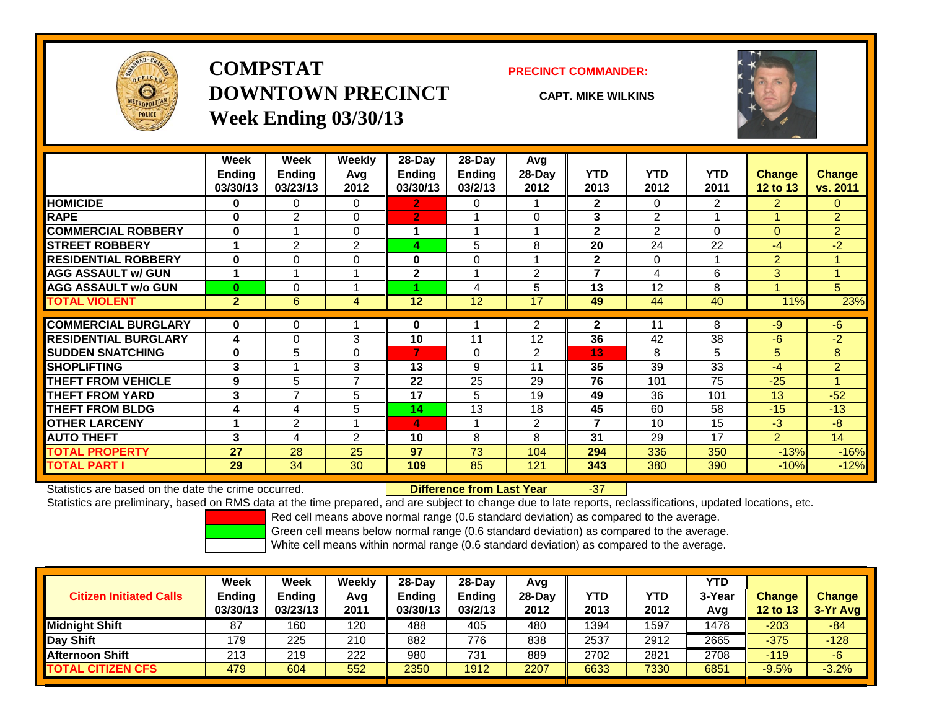

# **COMPSTATDOWNTOWN PRECINCTWeek Ending 03/30/13**

#### **PRECINCT COMMANDER:**

**CAPT. MIKE WILKINS**



|                             | Week           | Week           | Weekly         | 28-Day         | 28-Day        | Avg            |                |                |                |                |                |
|-----------------------------|----------------|----------------|----------------|----------------|---------------|----------------|----------------|----------------|----------------|----------------|----------------|
|                             | <b>Ending</b>  | Ending         | Avg            | Ending         | <b>Ending</b> | 28-Day         | <b>YTD</b>     | <b>YTD</b>     | <b>YTD</b>     | <b>Change</b>  | <b>Change</b>  |
|                             | 03/30/13       | 03/23/13       | 2012           | 03/30/13       | 03/2/13       | 2012           | 2013           | 2012           | 2011           | 12 to 13       | vs. 2011       |
| <b>HOMICIDE</b>             | 0              | 0              | $\Omega$       | 2              | 0             |                | $\mathbf{2}$   | $\Omega$       | $\overline{2}$ | $\overline{2}$ | $\Omega$       |
| <b>RAPE</b>                 | $\bf{0}$       | $\overline{2}$ | $\Omega$       | $\overline{2}$ |               | $\Omega$       | 3              | 2              |                |                | $\overline{2}$ |
| <b>COMMERCIAL ROBBERY</b>   | $\mathbf{0}$   | 1              | $\Omega$       |                |               |                | $\mathbf{2}$   | $\overline{2}$ | 0              | $\Omega$       | $\overline{2}$ |
| <b>STREET ROBBERY</b>       | 1              | $\overline{2}$ | $\overline{2}$ | 4              | 5             | 8              | 20             | 24             | 22             | -4             | $-2$           |
| <b>RESIDENTIAL ROBBERY</b>  | $\bf{0}$       | $\Omega$       | 0              | $\bf{0}$       | $\Omega$      | и              | $\mathbf{2}$   | $\Omega$       | 1              | 2              |                |
| <b>AGG ASSAULT w/ GUN</b>   | 1              |                |                | $\mathbf 2$    |               | $\overline{2}$ | 7              | 4              | 6              | 3 <sup>1</sup> |                |
| <b>AGG ASSAULT w/o GUN</b>  | $\bf{0}$       | $\Omega$       |                |                | 4             | 5              | 13             | 12             | 8              |                | 5              |
| <b>TOTAL VIOLENT</b>        | $\overline{2}$ | 6              | 4              | 12             | 12            | 17             | 49             | 44             | 40             | 11%            | 23%            |
| <b>COMMERCIAL BURGLARY</b>  | $\bf{0}$       | 0              |                | 0              |               | 2              | $\mathbf{2}$   | 11             | 8              | -9             | -6             |
| <b>RESIDENTIAL BURGLARY</b> | 4              | $\Omega$       | 3              | 10             | 11            | 12             | 36             | 42             | 38             | -6             | $-2$           |
| <b>SUDDEN SNATCHING</b>     | $\bf{0}$       | 5              | $\Omega$       | 7              | $\Omega$      | $\overline{2}$ | 13             | 8              | 5              | 5              | 8              |
| <b>SHOPLIFTING</b>          | 3              |                | 3              | 13             | 9             | 11             | 35             | 39             | 33             | -4             | $\overline{2}$ |
| <b>THEFT FROM VEHICLE</b>   | 9              | 5              | 7              | 22             | 25            | 29             | 76             | 101            | 75             | $-25$          |                |
| <b>THEFT FROM YARD</b>      | 3              | 7              | 5              | 17             | 5             | 19             | 49             | 36             | 101            | 13             | $-52$          |
| <b>THEFT FROM BLDG</b>      | 4              | 4              | 5              | 14             | 13            | 18             | 45             | 60             | 58             | $-15$          | $-13$          |
| <b>OTHER LARCENY</b>        | 1              | 2              |                | 4              |               | $\overline{2}$ | $\overline{7}$ | 10             | 15             | -3             | $-8$           |
| <b>AUTO THEFT</b>           | 3              | 4              | $\overline{2}$ | 10             | 8             | 8              | 31             | 29             | 17             | $\overline{2}$ | 14             |
| TOTAL PROPERTY              | 27             | 28             | 25             | 97             | 73            | 104            | 294            | 336            | 350            | $-13%$         | $-16%$         |
| <b>TOTAL PART I</b>         | 29             | 34             | 30             | 109            | 85            | 121            | 343            | 380            | 390            | $-10%$         | $-12%$         |

Statistics are based on the date the crime occurred. **Difference from Last Year** 

#### r -37

Statistics are preliminary, based on RMS data at the time prepared, and are subject to change due to late reports, reclassifications, updated locations, etc.

Red cell means above normal range (0.6 standard deviation) as compared to the average.

Green cell means below normal range (0.6 standard deviation) as compared to the average.

| <b>Citizen Initiated Calls</b> | Week<br><b>Ending</b><br>03/30/13 | Week<br><b>Ending</b><br>03/23/13 | Weekly<br>Avg<br>2011 | 28-Day<br><b>Ending</b><br>03/30/13 | 28-Day<br>Ending<br>03/2/13 | Avg<br>28-Dav<br>2012 | YTD<br>2013 | YTD<br>2012 | <b>YTD</b><br>3-Year<br>Avg | <b>Change</b><br><b>12 to 13</b> | <b>Change</b><br>3-Yr Avg |
|--------------------------------|-----------------------------------|-----------------------------------|-----------------------|-------------------------------------|-----------------------------|-----------------------|-------------|-------------|-----------------------------|----------------------------------|---------------------------|
| Midnight Shift                 | 87                                | 160                               | 120                   | 488                                 | 405                         | 480                   | 1394        | 1597        | 1478                        | $-203$                           | $-84$                     |
| Day Shift                      | 179                               | 225                               | 210                   | 882                                 | 776                         | 838                   | 2537        | 2912        | 2665                        | $-375$                           | $-128$                    |
| <b>Afternoon Shift</b>         | 213                               | 219                               | 222                   | 980                                 | 731                         | 889                   | 2702        | 2821        | 2708                        | $-119$                           | $-6$                      |
| <b>TOTAL CITIZEN CFS</b>       | 479                               | 604                               | 552                   | 2350                                | 1912                        | 2207                  | 6633        | 7330        | 6851                        | $-9.5%$                          | $-3.2%$                   |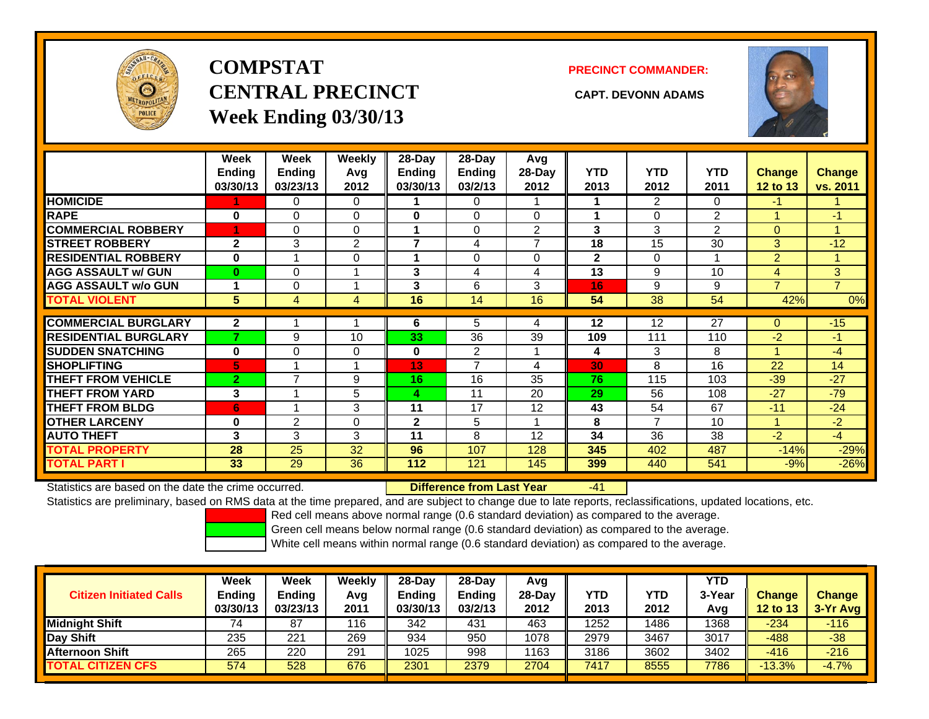

# **COMPSTATCENTRAL PRECINCT CAPT. DEVONN ADAMSWeek Ending 03/30/13**

**PRECINCT COMMANDER:**



|                             | Week<br><b>Ending</b><br>03/30/13 | Week<br><b>Ending</b><br>03/23/13 | <b>Weekly</b><br>Avg<br>2012 | 28-Day<br>Endina<br>03/30/13 | 28-Day<br><b>Endina</b><br>03/2/13 | Avg<br>28-Day<br>2012 | <b>YTD</b><br>2013 | <b>YTD</b><br>2012 | <b>YTD</b><br>2011 | <b>Change</b><br>12 to 13 | <b>Change</b><br>vs. 2011 |
|-----------------------------|-----------------------------------|-----------------------------------|------------------------------|------------------------------|------------------------------------|-----------------------|--------------------|--------------------|--------------------|---------------------------|---------------------------|
| <b>HOMICIDE</b>             |                                   | 0                                 | 0                            |                              | $\Omega$                           |                       |                    | 2                  | 0                  | -1                        |                           |
| <b>RAPE</b>                 | 0                                 | 0                                 | $\Omega$                     | $\bf{0}$                     | $\Omega$                           | $\Omega$              |                    | $\Omega$           | $\overline{2}$     |                           | -1                        |
| <b>COMMERCIAL ROBBERY</b>   | 4                                 | 0                                 | $\Omega$                     |                              | $\Omega$                           | $\overline{2}$        | $\mathbf{3}$       | 3                  | $\overline{2}$     | $\mathbf{0}$              |                           |
| <b>STREET ROBBERY</b>       | $\mathbf{2}$                      | 3                                 | $\overline{2}$               | 7                            | 4                                  | $\overline{ }$        | 18                 | 15                 | 30                 | 3                         | $-12$                     |
| <b>RESIDENTIAL ROBBERY</b>  | $\bf{0}$                          |                                   | $\Omega$                     |                              | $\Omega$                           | $\Omega$              | $\mathbf{2}$       | $\Omega$           |                    | $\overline{2}$            |                           |
| <b>AGG ASSAULT w/ GUN</b>   | $\bf{0}$                          | 0                                 |                              | 3                            | 4                                  | 4                     | 13                 | 9                  | 10                 | 4                         | 3                         |
| <b>AGG ASSAULT w/o GUN</b>  |                                   | 0                                 |                              | 3                            | 6                                  | 3                     | 16                 | 9                  | 9                  | $\overline{7}$            | $\overline{7}$            |
| <b>TOTAL VIOLENT</b>        | 5                                 | 4                                 | 4                            | 16                           | 14                                 | 16                    | 54                 | 38                 | 54                 | 42%                       | 0%                        |
|                             |                                   |                                   |                              |                              |                                    |                       |                    |                    |                    |                           |                           |
| <b>COMMERCIAL BURGLARY</b>  | $\mathbf{2}$                      |                                   |                              | 6                            | 5                                  | 4                     | 12                 | 12                 | 27                 | $\Omega$                  | $-15$                     |
| <b>RESIDENTIAL BURGLARY</b> | 7                                 | 9                                 | 10                           | 33                           | 36                                 | 39                    | 109                | 111                | 110                | $-2$                      | $-1$                      |
| <b>SUDDEN SNATCHING</b>     | $\bf{0}$                          | 0                                 | $\mathbf 0$                  | 0                            | 2                                  | 1                     | 4                  | 3                  | 8                  |                           | $-4$                      |
| <b>SHOPLIFTING</b>          | 5                                 |                                   |                              | 13                           | $\overline{7}$                     | 4                     | 30                 | 8                  | 16                 | 22                        | 14                        |
| <b>THEFT FROM VEHICLE</b>   | $\overline{2}$                    | 7                                 | 9                            | 16                           | 16                                 | 35                    | 76                 | 115                | 103                | $-39$                     | $-27$                     |
| <b>THEFT FROM YARD</b>      | 3                                 |                                   | 5                            | 4                            | 11                                 | 20                    | 29                 | 56                 | 108                | $-27$                     | $-79$                     |
| <b>THEFT FROM BLDG</b>      | 6                                 |                                   | 3                            | 11                           | 17                                 | 12                    | 43                 | 54                 | 67                 | $-11$                     | $-24$                     |
| <b>OTHER LARCENY</b>        | $\bf{0}$                          | $\overline{2}$                    | 0                            | $\mathbf 2$                  | 5                                  | 1                     | 8                  | $\overline{7}$     | 10                 |                           | $-2$                      |
| <b>AUTO THEFT</b>           | 3                                 | 3                                 | 3                            | 11                           | 8                                  | 12                    | 34                 | 36                 | 38                 | $-2$                      | $-4$                      |
| <b>TOTAL PROPERTY</b>       | 28                                | 25                                | 32                           | 96                           | 107                                | 128                   | 345                | 402                | 487                | $-14%$                    | $-29%$                    |
| <b>TOTAL PART I</b>         | 33                                | 29                                | 36                           | 112                          | 121                                | 145                   | 399                | 440                | 541                | $-9%$                     | $-26%$                    |

Statistics are based on the date the crime occurred. **Difference from Last Year** 

-41

Statistics are preliminary, based on RMS data at the time prepared, and are subject to change due to late reports, reclassifications, updated locations, etc.

Red cell means above normal range (0.6 standard deviation) as compared to the average.

Green cell means below normal range (0.6 standard deviation) as compared to the average.

| <b>Citizen Initiated Calls</b> | Week<br><b>Ending</b><br>03/30/13 | Week<br>Ending<br>03/23/13 | Weekly<br>Avg<br>2011 | $28-Day$<br><b>Ending</b><br>03/30/13 | 28-Dav<br><b>Ending</b><br>03/2/13 | Avg<br>$28-Day$<br>2012 | <b>YTD</b><br>2013 | <b>YTD</b><br>2012 | <b>YTD</b><br>3-Year<br>Avg | <b>Change</b><br><b>12 to 13</b> | <b>Change</b><br>$3-Yr$ Avg |
|--------------------------------|-----------------------------------|----------------------------|-----------------------|---------------------------------------|------------------------------------|-------------------------|--------------------|--------------------|-----------------------------|----------------------------------|-----------------------------|
| <b>Midnight Shift</b>          |                                   | 87                         | 116                   | 342                                   | 431                                | 463                     | 1252               | 1486               | 1368                        | $-234$                           | $-116$                      |
| <b>Day Shift</b>               | 235                               | 221                        | 269                   | 934                                   | 950                                | 1078                    | 2979               | 3467               | 3017                        | $-488$                           | $-38$                       |
| <b>Afternoon Shift</b>         | 265                               | 220                        | 291                   | 1025                                  | 998                                | 1163                    | 3186               | 3602               | 3402                        | $-416$                           | $-216$                      |
| <b>TOTAL CITIZEN CFS</b>       | 574                               | 528                        | 676                   | 2301                                  | 2379                               | 2704                    | 7417               | 8555               | 7786                        | $-13.3%$                         | $-4.7%$                     |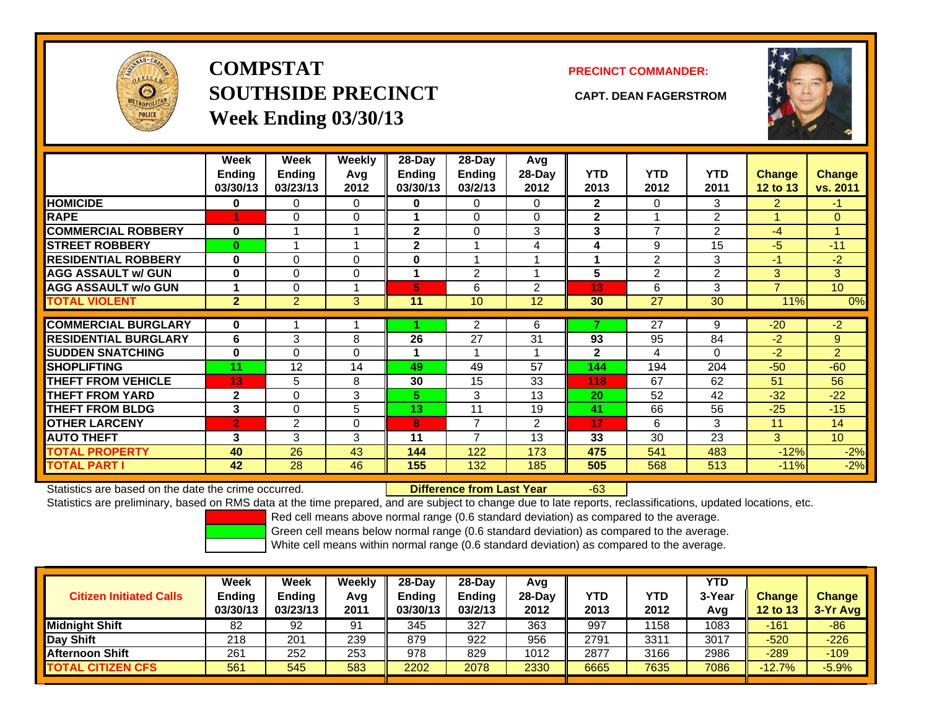

# **COMPSTATSOUTHSIDE PRECINCT CAPT. DEAN FAGERSTROMWeek Ending 03/30/13**

### **PRECINCT COMMANDER:**



|                             | Week<br><b>Ending</b><br>03/30/13 | Week<br><b>Ending</b><br>03/23/13 | Weekly<br>Avg<br>2012 | 28-Day<br><b>Ending</b><br>03/30/13 | $28-Day$<br><b>Ending</b><br>03/2/13 | Avg<br>28-Day<br>2012 | <b>YTD</b><br>2013 | <b>YTD</b><br>2012 | <b>YTD</b><br>2011 | <b>Change</b><br>12 to 13 | <b>Change</b><br>vs. 2011 |
|-----------------------------|-----------------------------------|-----------------------------------|-----------------------|-------------------------------------|--------------------------------------|-----------------------|--------------------|--------------------|--------------------|---------------------------|---------------------------|
| <b>HOMICIDE</b>             | 0                                 | 0                                 | 0                     | 0                                   | 0                                    | 0                     | $\mathbf{2}$       | 0                  | 3                  | $\overline{2}$            | $\bullet$                 |
| <b>RAPE</b>                 |                                   | $\Omega$                          | 0                     |                                     | $\Omega$                             | $\Omega$              | $\mathbf{2}$       |                    | 2                  |                           | $\Omega$                  |
| <b>COMMERCIAL ROBBERY</b>   | 0                                 |                                   |                       | $\mathbf{2}$                        | 0                                    | 3                     | 3                  | $\overline{7}$     | 2                  | -4                        | 4                         |
| <b>STREET ROBBERY</b>       | $\bf{0}$                          |                                   | $\overline{A}$        | $\mathbf{2}$                        |                                      | 4                     | 4                  | 9                  | 15                 | $-5$                      | $-11$                     |
| <b>RESIDENTIAL ROBBERY</b>  | $\bf{0}$                          | $\Omega$                          | $\Omega$              | $\bf{0}$                            |                                      |                       | 4                  | $\overline{2}$     | 3                  | $-1$                      | $-2$                      |
| <b>AGG ASSAULT w/ GUN</b>   | $\bf{0}$                          | 0                                 | $\Omega$              | 1                                   | 2                                    |                       | 5                  | 2                  | 2                  | 3                         | 3                         |
| <b>AGG ASSAULT w/o GUN</b>  |                                   | $\Omega$                          |                       | 5                                   | 6                                    | 2                     | 13                 | 6                  | 3                  | $\overline{7}$            | 10 <sup>1</sup>           |
| <b>TOTAL VIOLENT</b>        | $\overline{2}$                    | $\overline{2}$                    | 3                     | 11                                  | 10                                   | 12                    | 30                 | 27                 | 30                 | 11%                       | 0%                        |
| <b>COMMERCIAL BURGLARY</b>  | $\bf{0}$                          |                                   |                       |                                     | $\overline{2}$                       | 6                     | ۰,                 | 27                 | 9                  | $-20$                     | $-2$                      |
| <b>RESIDENTIAL BURGLARY</b> | 6                                 | 3                                 | 8                     | 26                                  | 27                                   | 31                    | 93                 | 95                 | 84                 | $-2$                      | 9                         |
| <b>SUDDEN SNATCHING</b>     | $\bf{0}$                          | $\Omega$                          | $\Omega$              | 1                                   |                                      |                       | $\mathbf{2}$       | 4                  | $\Omega$           | $-2$                      | $\overline{2}$            |
| <b>SHOPLIFTING</b>          | 11                                | 12                                | 14                    | 49                                  | 49                                   | 57                    | 144                | 194                | 204                | $-50$                     | $-60$                     |
| <b>THEFT FROM VEHICLE</b>   | 13                                | 5                                 | 8                     | 30                                  | 15                                   | 33                    | 118                | 67                 | 62                 | 51                        | 56                        |
| <b>THEFT FROM YARD</b>      | $\mathbf{2}$                      | $\Omega$                          | 3                     | 5.                                  | 3                                    | 13                    | 20                 | 52                 | 42                 | $-32$                     | $-22$                     |
| <b>THEFT FROM BLDG</b>      | 3                                 | $\Omega$                          | 5                     | 13                                  | 11                                   | 19                    | 41                 | 66                 | 56                 | $-25$                     | $-15$                     |
| <b>OTHER LARCENY</b>        | $\overline{2}$                    | 2                                 | $\Omega$              | 8                                   | $\overline{ }$                       | 2                     | 17                 | 6                  | 3                  | 11                        | 14                        |
| <b>AUTO THEFT</b>           | 3                                 | 3                                 | 3                     | 11                                  | $\overline{ }$                       | 13                    | 33                 | 30                 | 23                 | 3                         | 10 <sup>1</sup>           |
| <b>TOTAL PROPERTY</b>       | 40                                | 26                                | 43                    | 144                                 | 122                                  | 173                   | 475                | 541                | 483                | $-12%$                    | $-2%$                     |
| <b>TOTAL PART I</b>         | 42                                | 28                                | 46                    | 155                                 | 132                                  | 185                   | 505                | 568                | 513                | $-11%$                    | $-2%$                     |

Statistics are based on the date the crime occurred. **Difference from Last Year** 

### r -63

Statistics are preliminary, based on RMS data at the time prepared, and are subject to change due to late reports, reclassifications, updated locations, etc.

Red cell means above normal range (0.6 standard deviation) as compared to the average.

Green cell means below normal range (0.6 standard deviation) as compared to the average.

| <b>Citizen Initiated Calls</b> | Week<br><b>Ending</b><br>03/30/13 | Week<br><b>Ending</b><br>03/23/13 | Weekly<br>Avg<br>2011 | $28-Day$<br><b>Ending</b><br>03/30/13 | 28-Day<br><b>Ending</b><br>03/2/13 | Avg<br>28-Dav<br>2012 | YTD<br>2013 | YTD<br>2012 | <b>YTD</b><br>3-Year<br>Avg | <b>Change</b><br><b>12 to 13</b> | <b>Change</b><br>$3-Yr$ Avg |
|--------------------------------|-----------------------------------|-----------------------------------|-----------------------|---------------------------------------|------------------------------------|-----------------------|-------------|-------------|-----------------------------|----------------------------------|-----------------------------|
| <b>Midnight Shift</b>          | 82                                | 92                                | 91                    | 345                                   | 327                                | 363                   | 997         | 158         | 1083                        | -161                             | $-86$                       |
| Day Shift                      | 218                               | 201                               | 239                   | 879                                   | 922                                | 956                   | 2791        | 3311        | 3017                        | $-520$                           | $-226$                      |
| <b>Afternoon Shift</b>         | 261                               | 252                               | 253                   | 978                                   | 829                                | 1012                  | 2877        | 3166        | 2986                        | $-289$                           | $-109$                      |
| <b>TOTAL CITIZEN CFS</b>       | 561                               | 545                               | 583                   | 2202                                  | 2078                               | 2330                  | 6665        | 7635        | 7086                        | $-12.7%$                         | $-5.9%$                     |
|                                |                                   |                                   |                       |                                       |                                    |                       |             |             |                             |                                  |                             |